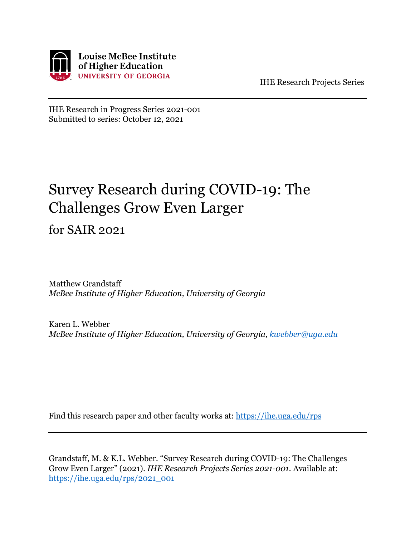

IHE Research Projects Series

IHE Research in Progress Series 2021-001 Submitted to series: October 12, 2021

#### Survey Research during COVID-19: The Challenges Grow Even Larger

for SAIR 2021

Matthew Grandstaff *McBee Institute of Higher Education, University of Georgia*

Karen L. Webber *McBee Institute of Higher Education, University of Georgia, [kwebber@uga.edu](mailto:kwebber@uga.edu)*

Find this research paper and other faculty works at:<https://ihe.uga.edu/rps>

Grandstaff, M. & K.L. Webber. "Survey Research during COVID-19: The Challenges Grow Even Larger" (2021). *IHE Research Projects Series 2021-001*. Available at: [https://ihe.uga.edu/rps/2021\\_001](https://ihe.uga.edu/rps/2021_001)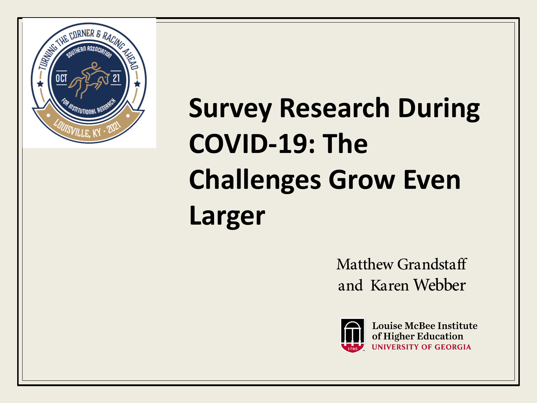

# **Survey Research During COVID-19: The Challenges Grow Even Larger**

Matthew Grandstaff and Karen Webber



**Louise McBee Institute** of Higher Education **UNIVERSITY OF GEORGIA**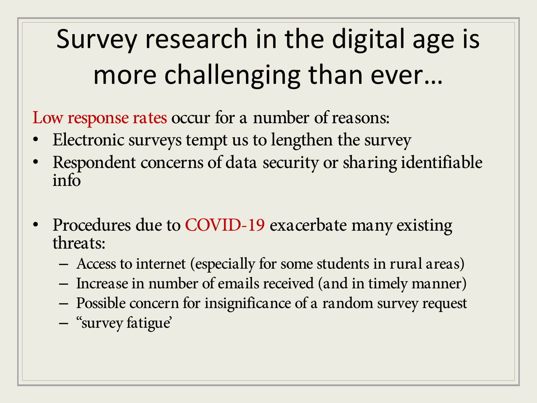# Survey research in the digital age is more challenging than ever…

Low response rates occur for a number of reasons:

- Electronic surveys tempt us to lengthen the survey
- Respondent concerns of data security or sharing identifiable info
- Procedures due to COVID-19 exacerbate many existing threats:
	- Access to internet (especially for some students in rural areas)
	- Increase in number of emails received (and in timely manner)
	- Possible concern for insignificance of a random survey request
	- "survey fatigue'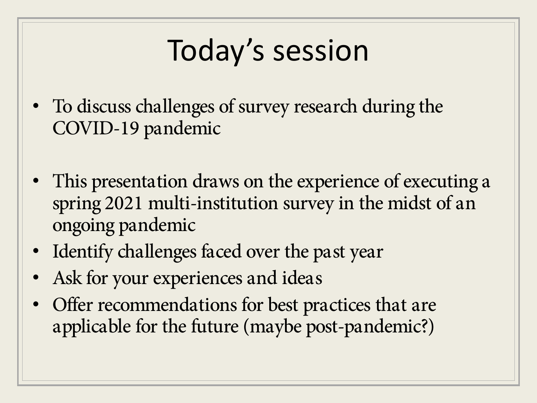# Today's session

- To discuss challenges of survey research during the COVID-19 pandemic
- This presentation draws on the experience of executing a spring 2021 multi-institution survey in the midst of an ongoing pandemic
- Identify challenges faced over the past year
- Ask for your experiences and ideas
- Offer recommendations for best practices that are applicable for the future (maybe post-pandemic?)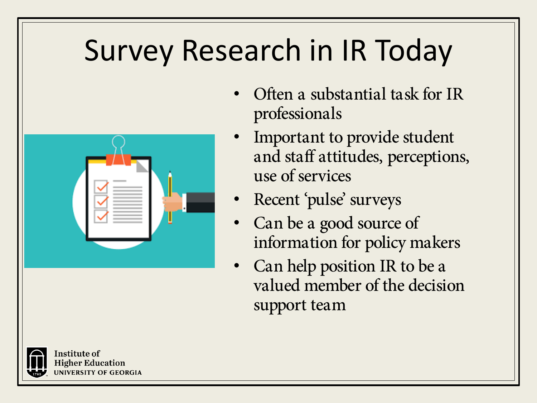# Survey Research in IR Today



- Often a substantial task for IR professionals
- Important to provide student and staff attitudes, perceptions, use of services
- Recent 'pulse' surveys
- Can be a good source of information for policy makers
- Can help position IR to be a valued member of the decision support team



nstitute of Higher Education **JNIVERSITY OF GEORGIA**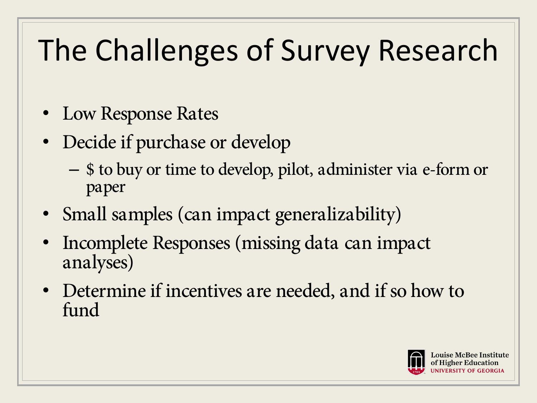# The Challenges of Survey Research

- Low Response Rates
- Decide if purchase or develop
	- \$ to buy or time to develop, pilot, administer via e-form or paper
- Small samples (can impact generalizability)
- Incomplete Responses (missing data can impact analyses)
- Determine if incentives are needed, and if so how to fund

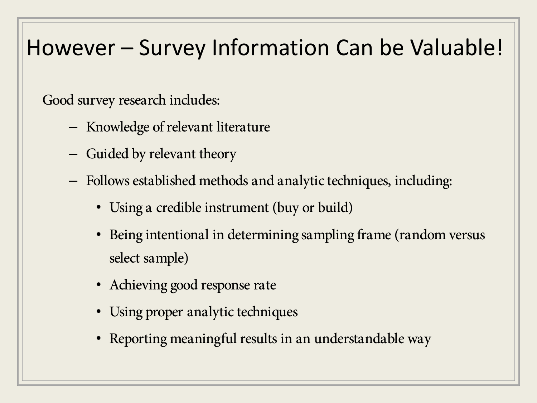#### However – Survey Information Can be Valuable!

Good survey research includes:

- Knowledge of relevant literature
- Guided by relevant theory
- Follows established methods and analytic techniques, including:
	- Using a credible instrument (buy or build)
	- Being intentional in determining sampling frame (random versus select sample)
	- Achieving good response rate
	- Using proper analytic techniques
	- Reporting meaningful results in an understandable way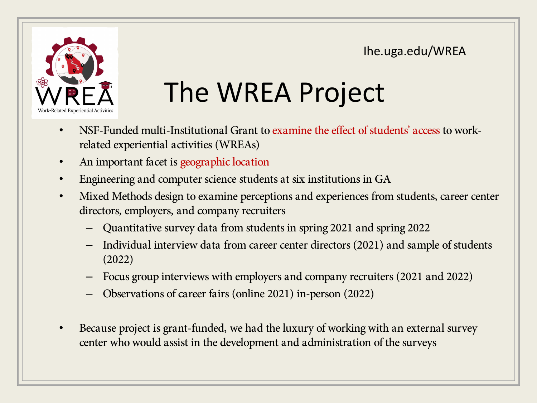Ihe.uga.edu/WREA



# The WREA Project

- NSF-Funded multi-Institutional Grant to examine the effect of students' access to workrelated experiential activities (WREAs)
- An important facet is geographic location
- Engineering and computer science students at six institutions in GA
- Mixed Methods design to examine perceptions and experiences from students, career center directors, employers, and company recruiters
	- Quantitative survey data from students in spring 2021 and spring 2022
	- Individual interview data from career center directors (2021) and sample of students (2022)
	- Focus group interviews with employers and company recruiters (2021 and 2022)
	- Observations of career fairs (online 2021) in-person (2022)
- Because project is grant-funded, we had the luxury of working with an external survey center who would assist in the development and administration of the surveys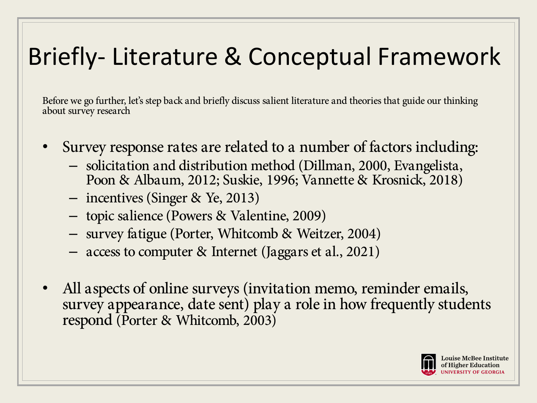## Briefly- Literature & Conceptual Framework

Before we go further, let's step back and briefly discuss salient literature and theories that guide our thinking about survey research

- Survey response rates are related to a number of factors including:
	- solicitation and distribution method (Dillman, 2000, Evangelista, Poon & Albaum, 2012; Suskie, 1996; Vannette & Krosnick, 2018)
	- incentives (Singer & Ye, 2013)
	- topic salience (Powers & Valentine, 2009)
	- survey fatigue (Porter, Whitcomb & Weitzer, 2004)
	- access to computer & Internet (Jaggars et al., 2021)
- All aspects of online surveys (invitation memo, reminder emails, survey appearance, date sent) play a role in how frequently students respond (Porter & Whitcomb, 2003)

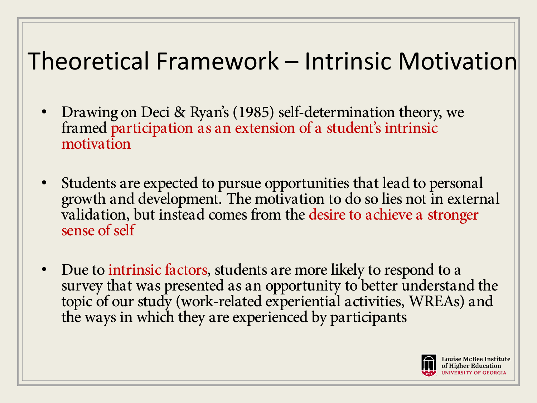## Theoretical Framework – Intrinsic Motivation

- Drawing on Deci & Ryan's (1985) self-determination theory, we framed participation as an extension of a student's intrinsic motivation
- Students are expected to pursue opportunities that lead to personal growth and development. The motivation to do so lies not in external validation, but instead comes from the desire to achieve a stronger sense of self
- Due to intrinsic factors, students are more likely to respond to a survey that was presented as an opportunity to better understand the topic of our study (work-related experiential activities, WREAs) and the ways in which they are experienced by participants

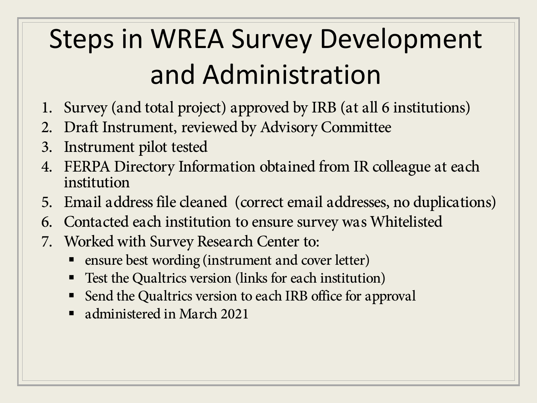# Steps in WREA Survey Development and Administration

- 1. Survey (and total project) approved by IRB (at all 6 institutions)
- 2. Draft Instrument, reviewed by Advisory Committee
- 3. Instrument pilot tested
- 4. FERPA Directory Information obtained from IR colleague at each institution
- 5. Email address file cleaned (correct email addresses, no duplications)
- 6. Contacted each institution to ensure survey was Whitelisted
- 7. Worked with Survey Research Center to:
	- ensure best wording (instrument and cover letter)
	- Test the Qualtrics version (links for each institution)
	- Send the Qualtrics version to each IRB office for approval
	- administered in March 2021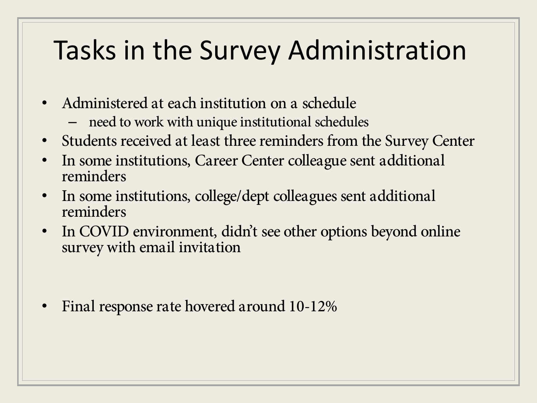## Tasks in the Survey Administration

- Administered at each institution on a schedule
	- need to work with unique institutional schedules
- Students received at least three reminders from the Survey Center
- In some institutions, Career Center colleague sent additional reminders
- In some institutions, college/dept colleagues sent additional reminders
- In COVID environment, didn't see other options beyond online survey with email invitation

• Final response rate hovered around 10-12%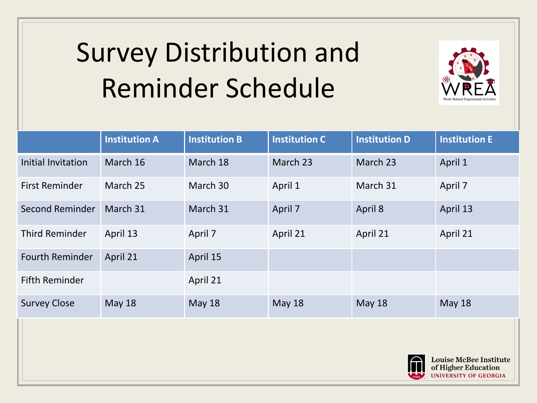# Survey Distribution and Reminder Schedule



|                        | <b>Institution A</b> | <b>Institution B</b> | <b>Institution C</b> | <b>Institution D</b> | <b>Institution E</b> |
|------------------------|----------------------|----------------------|----------------------|----------------------|----------------------|
| Initial Invitation     | March 16             | March 18             | March 23             | March 23             | April 1              |
| <b>First Reminder</b>  | March 25             | March 30             | April 1              | March 31             | April 7              |
| Second Reminder        | March 31             | March 31             | April 7              | April 8              | April 13             |
| <b>Third Reminder</b>  | April 13             | April 7              | April 21             | April 21             | April 21             |
| <b>Fourth Reminder</b> | April 21             | April 15             |                      |                      |                      |
| <b>Fifth Reminder</b>  |                      | April 21             |                      |                      |                      |
| <b>Survey Close</b>    | May 18               | <b>May 18</b>        | <b>May 18</b>        | <b>May 18</b>        | <b>May 18</b>        |
|                        |                      |                      |                      |                      |                      |

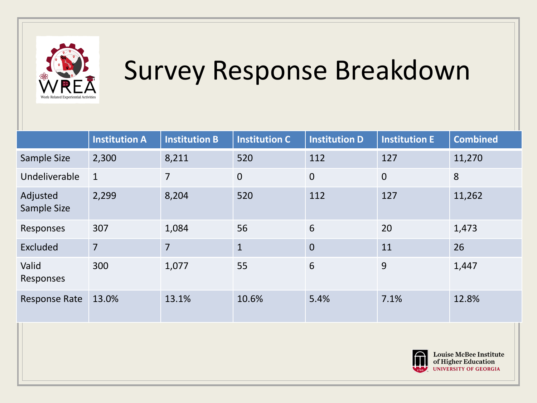

## Survey Response Breakdown

|                         | <b>Institution A</b> | <b>Institution B</b> | <b>Institution C</b> | <b>Institution D</b> | <b>Institution E</b> | <b>Combined</b> |
|-------------------------|----------------------|----------------------|----------------------|----------------------|----------------------|-----------------|
| Sample Size             | 2,300                | 8,211                | 520                  | 112                  | 127                  | 11,270          |
| Undeliverable           | $\mathbf{1}$         | $\overline{7}$       | $\overline{0}$       | $\overline{0}$       | $\overline{0}$       | 8               |
| Adjusted<br>Sample Size | 2,299                | 8,204                | 520                  | 112                  | 127                  | 11,262          |
| Responses               | 307                  | 1,084                | 56                   | 6                    | 20                   | 1,473           |
| Excluded                | $\overline{7}$       | $\overline{7}$       | $\overline{1}$       | $\overline{0}$       | 11                   | 26              |
| Valid<br>Responses      | 300                  | 1,077                | 55                   | 6                    | 9                    | 1,447           |
| <b>Response Rate</b>    | 13.0%                | 13.1%                | 10.6%                | 5.4%                 | 7.1%                 | 12.8%           |

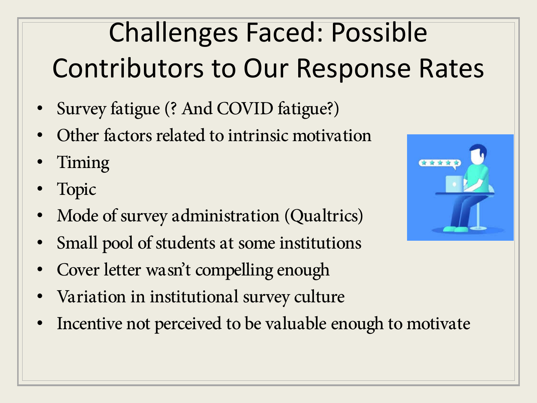# Challenges Faced: Possible Contributors to Our Response Rates

- Survey fatigue (? And COVID fatigue?)
- Other factors related to intrinsic motivation
- Timing
- Topic
- Mode of survey administration (Qualtrics)
- Small pool of students at some institutions
- Cover letter wasn't compelling enough
- Variation in institutional survey culture
- Incentive not perceived to be valuable enough to motivate

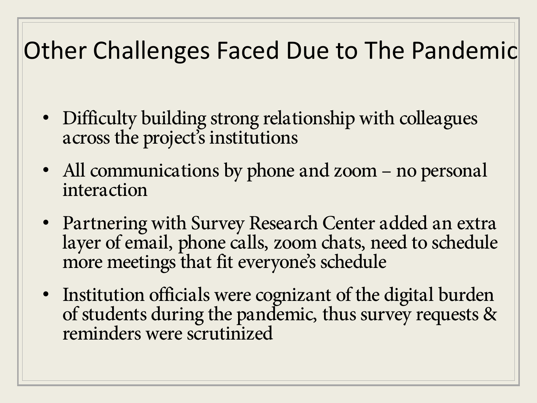## Other Challenges Faced Due to The Pandemic

- Difficulty building strong relationship with colleagues across the project's institutions
- All communications by phone and zoom no personal interaction
- Partnering with Survey Research Center added an extra layer of email, phone calls, zoom chats, need to schedule more meetings that fit everyone's schedule
- Institution officials were cognizant of the digital burden of students during the pandemic, thus survey requests & reminders were scrutinized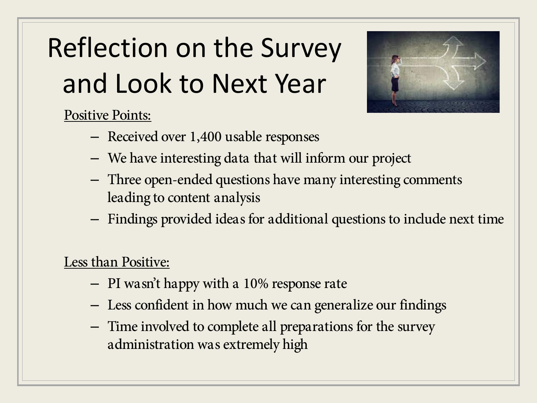# Reflection on the Survey and Look to Next Year



Positive Points:

- Received over 1,400 usable responses
- We have interesting data that will inform our project
- Three open-ended questions have many interesting comments leading to content analysis
- Findings provided ideas for additional questions to include next time

#### Less than Positive:

- PI wasn't happy with a 10% response rate
- Less confident in how much we can generalize our findings
- Time involved to complete all preparations for the survey administration was extremely high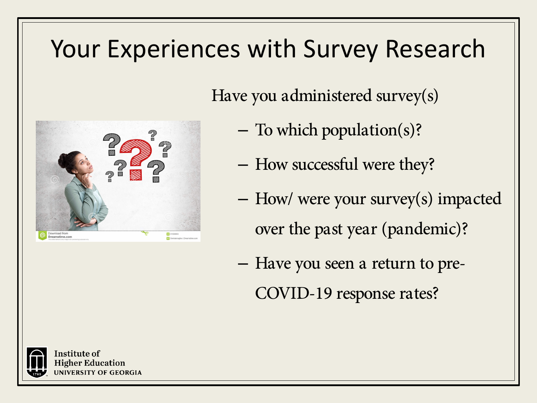#### Your Experiences with Survey Research

Have you administered survey(s)

- To which population(s)?
- How successful were they?
- How/ were your survey(s) impacted over the past year (pandemic)?
- Have you seen a return to pre-COVID-19 response rates?



Download from Dreamstime.com

> nstitute of **Higher Education INIVERSITY OF GEORGIA**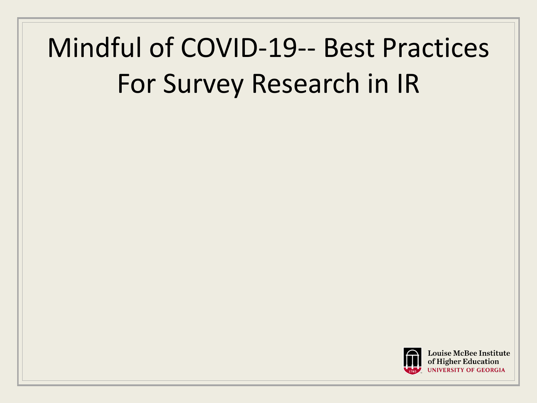# Mindful of COVID-19-- Best Practices For Survey Research in IR

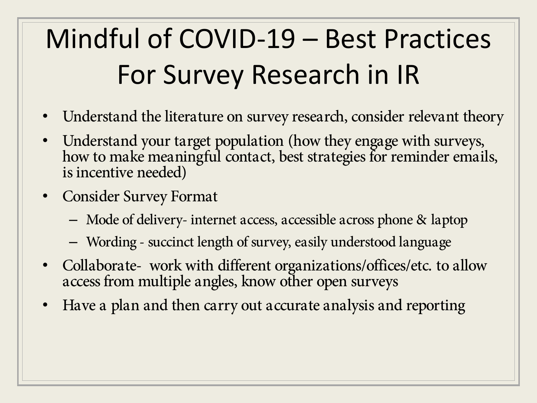# Mindful of COVID-19 – Best Practices For Survey Research in IR

- Understand the literature on survey research, consider relevant theory
- Understand your target population (how they engage with surveys, how to make meaningful contact, best strategies for reminder emails, is incentive needed)
- Consider Survey Format
	- Mode of delivery- internet access, accessible across phone & laptop
	- Wording succinct length of survey, easily understood language
- Collaborate- work with different organizations/offices/etc. to allow access from multiple angles, know other open surveys
- Have a plan and then carry out accurate analysis and reporting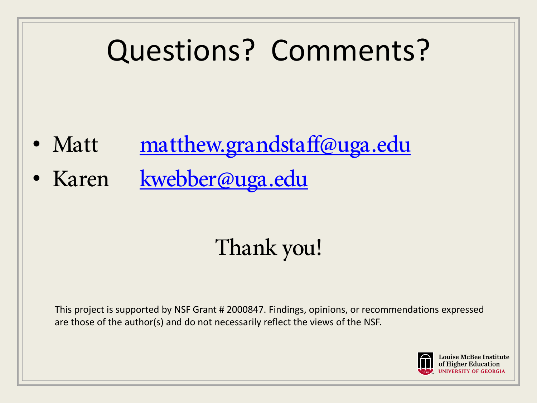# Questions? Comments?

- Matt [matthew.grandstaff@uga.edu](mailto:matthew.grandstaff@uga.edu)
- Karen [kwebber@uga.edu](mailto:kwebber@uga.edu)

## Thank you!

This project is supported by NSF Grant # 2000847. Findings, opinions, or recommendations expressed are those of the author(s) and do not necessarily reflect the views of the NSF.